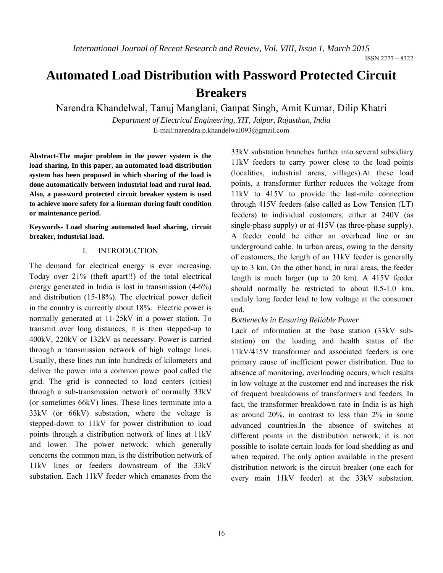# **Automated Load Distribution with Password Protected Circuit Breakers**

Narendra Khandelwal, Tanuj Manglani, Ganpat Singh, Amit Kumar, Dilip Khatri

*Department of Electrical Engineering, YIT, Jaipur, Rajasthan, India* E-mail:narendra.p.khandelwal093@gmail.com

**Abstract-The major problem in the power system is the load sharing. In this paper, an automated load distribution system has been proposed in which sharing of the load is done automatically between industrial load and rural load. Also, a password protected circuit breaker system is used to achieve more safety for a lineman during fault condition or maintenance period.** 

**Keywords- Load sharing automated load sharing, circuit breaker, industrial load.**

#### I. INTRODUCTION

The demand for electrical energy is ever increasing. Today over 21% (theft apart!!) of the total electrical energy generated in India is lost in transmission (4-6%) and distribution (15-18%). The electrical power deficit in the country is currently about 18%. Electric power is normally generated at 11-25kV in a power station. To transmit over long distances, it is then stepped-up to 400kV, 220kV or 132kV as necessary. Power is carried through a transmission network of high voltage lines. Usually, these lines run into hundreds of kilometers and deliver the power into a common power pool called the grid. The grid is connected to load centers (cities) through a sub-transmission network of normally 33kV (or sometimes 66kV) lines. These lines terminate into a 33kV (or 66kV) substation, where the voltage is stepped-down to 11kV for power distribution to load points through a distribution network of lines at 11kV and lower. The power network, which generally concerns the common man, is the distribution network of 11kV lines or feeders downstream of the 33kV substation. Each 11kV feeder which emanates from the

33kV substation branches further into several subsidiary 11kV feeders to carry power close to the load points (localities, industrial areas, villages).At these load points, a transformer further reduces the voltage from 11kV to 415V to provide the last-mile connection through 415V feeders (also called as Low Tension (LT) feeders) to individual customers, either at 240V (as single-phase supply) or at 415V (as three-phase supply). A feeder could be either an overhead line or an underground cable. In urban areas, owing to the density of customers, the length of an 11kV feeder is generally up to 3 km. On the other hand, in rural areas, the feeder length is much larger (up to 20 km). A 415V feeder should normally be restricted to about 0.5-1.0 km. unduly long feeder lead to low voltage at the consumer end.

#### *Bottlenecks in Ensuring Reliable Power*

Lack of information at the base station (33kV substation) on the loading and health status of the 11kV/415V transformer and associated feeders is one primary cause of inefficient power distribution. Due to absence of monitoring, overloading occurs, which results in low voltage at the customer end and increases the risk of frequent breakdowns of transformers and feeders. In fact, the transformer breakdown rate in India is as high as around 20%, in contrast to less than 2% in some advanced countries.In the absence of switches at different points in the distribution network, it is not possible to isolate certain loads for load shedding as and when required. The only option available in the present distribution network is the circuit breaker (one each for every main 11kV feeder) at the 33kV substation.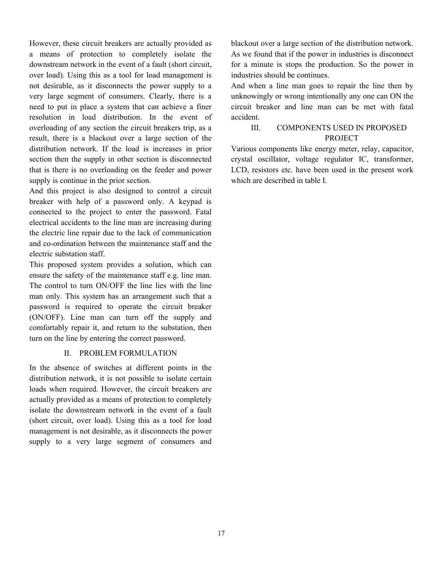However, these circuit breakers are actually provided as a means of protection to completely isolate the downstream network in the event of a fault (short circuit, over load). Using this as a tool for load management is not desirable, as it disconnects the power supply to a very large segment of consumers. Clearly, there is a need to put in place a system that can achieve a finer resolution in load distribution. In the event of overloading of any section the circuit breakers trip, as a result, there is a blackout over a large section of the distribution network. If the load is increases in prior section then the supply in other section is disconnected that is there is no overloading on the feeder and power supply is continue in the prior section.

And this project is also designed to control a circuit breaker with help of a password only. A keypad is connected to the project to enter the password. Fatal electrical accidents to the line man are increasing during the electric line repair due to the lack of communication and co-ordination between the maintenance staff and the electric substation staff.

This proposed system provides a solution, which can ensure the safety of the maintenance staff e.g. line man. The control to turn ON/OFF the line lies with the line man only. This system has an arrangement such that a password is required to operate the circuit breaker (ON/OFF). Line man can turn off the supply and comfortably repair it, and return to the substation, then turn on the line by entering the correct password.

#### II. PROBLEM FORMULATION

In the absence of switches at different points in the distribution network, it is not possible to isolate certain loads when required. However, the circuit breakers are actually provided as a means of protection to completely isolate the downstream network in the event of a fault (short circuit, over load). Using this as a tool for load management is not desirable, as it disconnects the power supply to a very large segment of consumers and blackout over a large section of the distribution network. As we found that if the power in industries is disconnect for a minute is stops the production. So the power in industries should be continues.

And when a line man goes to repair the line then by unknowingly or wrong intentionally any one can ON the circuit breaker and line man can be met with fatal accident.

# III. COMPONENTS USED IN PROPOSED PROJECT

Various components like energy meter, relay, capacitor, crystal oscillator, voltage regulator IC, transformer, LCD, resistors etc. have been used in the present work which are described in table I.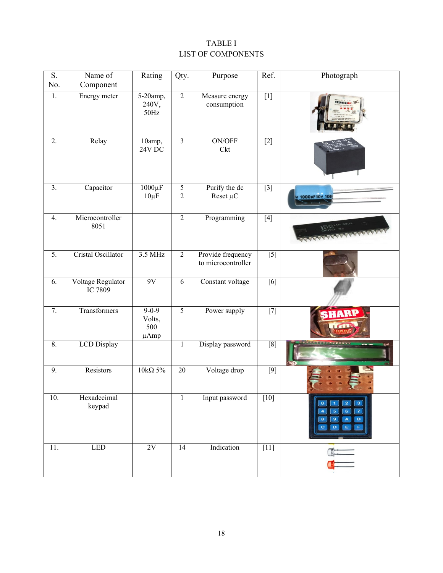# TABLE I LIST OF COMPONENTS

| S.<br>No.        | Name of<br>Component         | Rating                               | Qty.                             | Purpose                                 | Ref.                                                                                                                                                                                                                                                                                                                                                                                                                                                                                                                                                     | Photograph                                                                                                                                                              |
|------------------|------------------------------|--------------------------------------|----------------------------------|-----------------------------------------|----------------------------------------------------------------------------------------------------------------------------------------------------------------------------------------------------------------------------------------------------------------------------------------------------------------------------------------------------------------------------------------------------------------------------------------------------------------------------------------------------------------------------------------------------------|-------------------------------------------------------------------------------------------------------------------------------------------------------------------------|
| 1.               | Energy meter                 | 5-20amp,<br>240V,<br>50Hz            | $\overline{2}$                   | Measure energy<br>consumption           | $\boxed{1}$                                                                                                                                                                                                                                                                                                                                                                                                                                                                                                                                              |                                                                                                                                                                         |
| 2.               | Relay                        | 10amp,<br>24V DC                     | $\overline{\mathbf{3}}$          | <b>ON/OFF</b><br>Ckt                    | $[2]$                                                                                                                                                                                                                                                                                                                                                                                                                                                                                                                                                    |                                                                                                                                                                         |
| $\overline{3}$ . | Capacitor                    | $1000 \mu F$<br>$10\mu F$            | $\overline{5}$<br>$\overline{2}$ | Purify the dc<br>Reset $\mu$ C          | $[3]$                                                                                                                                                                                                                                                                                                                                                                                                                                                                                                                                                    | v 1000uF10v 100                                                                                                                                                         |
| 4.               | Microcontroller<br>8051      |                                      | $\overline{2}$                   | Programming                             | $[4]$                                                                                                                                                                                                                                                                                                                                                                                                                                                                                                                                                    |                                                                                                                                                                         |
| 5.               | Cristal Oscillator           | 3.5 MHz                              | $\overline{2}$                   | Provide frequency<br>to microcontroller | $[5]$                                                                                                                                                                                                                                                                                                                                                                                                                                                                                                                                                    |                                                                                                                                                                         |
| 6.               | Voltage Regulator<br>IC 7809 | 9V                                   | 6                                | Constant voltage                        | [6]                                                                                                                                                                                                                                                                                                                                                                                                                                                                                                                                                      |                                                                                                                                                                         |
| 7.               | Transformers                 | $9 - 0 - 9$<br>Volts,<br>500<br>μAmp | $\overline{5}$                   | Power supply                            | $[7] % \begin{minipage}[b]{0.4\linewidth} \centering \includegraphics[width=\textwidth]{figs/fig_4.pdf} \caption{The 3D (blue) model for the $z$-axis.} \label{fig:3D}% \end{minipage} \vspace{0.05in} \begin{minipage}[b]{0.45\linewidth} \centering \includegraphics[width=\textwidth]{figs/fig_4.pdf} \caption{The 3D (blue) model for the $z$-axis.} \label{fig:3D} \end{minipage} \vspace{0.05in} \begin{minipage}[b]{0.45\linewidth} \centering \includegraphics[width=\textwidth]{figs/fig_4.pdf} \caption{The 3D (blue) model for the $z$-axis.$ | HARP                                                                                                                                                                    |
| 8.               | <b>LCD</b> Display           |                                      | $\mathbf{1}$                     | Display password                        | [8]                                                                                                                                                                                                                                                                                                                                                                                                                                                                                                                                                      |                                                                                                                                                                         |
| 9.               | Resistors                    | 10kΩ $5%$                            | 20                               | Voltage drop                            | $[9]$                                                                                                                                                                                                                                                                                                                                                                                                                                                                                                                                                    |                                                                                                                                                                         |
| 10.              | Hexadecimal<br>keypad        |                                      | $\mathbf{1}$                     | Input password                          | $[10]$                                                                                                                                                                                                                                                                                                                                                                                                                                                                                                                                                   | $\boxed{2}$<br>$\boxed{3}$<br>$\bullet$<br>$\blacksquare$<br>$\overline{4}$<br>5<br>6<br>$\overline{7}$<br>$\bf{8}$<br>$\mathbf{9}$<br>$\mathbf{A}$<br>B<br>D<br>E<br>Ċ |
| 11.              | <b>LED</b>                   | 2V                                   | 14                               | Indication                              | $[11]$                                                                                                                                                                                                                                                                                                                                                                                                                                                                                                                                                   |                                                                                                                                                                         |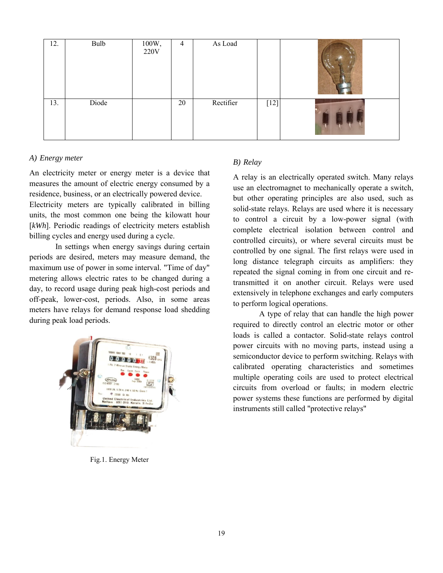| 12. | Bulb  | 100W,<br>220V | 4  | As Load   |        |  |
|-----|-------|---------------|----|-----------|--------|--|
| 13. | Diode |               | 20 | Rectifier | $[12]$ |  |

#### *A) Energy meter*

An electricity meter or energy meter is a device that measures the amount of electric energy consumed by a residence, business, or an electrically powered device Electricity meters are typically calibrated in billing units, the most common one being the kilowatt hour [kWh]. Periodic readings of electricity meters establish billing cycles and energy used during a cycle. is a device that<br>consumed by a<br>wered device. meter<br>
An electricity meter or energy meter is a device that<br>
measures the amount of electric energy consumed by a<br>
residence, business, or an electrically powered device.<br>
Electricity meters are typically calibrated in bi

In settings when energy savings during certain periods are desired, meters may measure demand, the maximum use of power in some interval. "Time of day" metering allows electric rates to be changed during a day, to record usage during peak high-cost periods and off-peak, lower-cost, periods. Also, in some areas meters have relays for demand response load shedding during peak load periods.



Fig.1. Energy Meter

A relay is an electrically operated switch. Many relays use an electromagnet to mechanically operate a switch, but other operating principles are also used, such as solid-state relays. Relays are used where it is necessary to control a circuit by a low-power signal (with complete electrical isolation between control and controlled circuits), or where several circuits must be controlled circuits), or where several circuits must be controlled by one signal. The first relays were used in long distance telegraph circuits as amplifiers: they repeated the signal coming in from one circuit and retransmitted it on another circuit. Relays were used extensively in telephone exchanges and early computers to perform logical operations. extromagnet to mechanically operate a switch, operating principles are also used, such as relays. Relays are used where it is necessary a circuit by a low-power signal (with

A type of relay that can handle the high power required to directly control an electric motor or other loads is called a contactor. Solid-state relays control power circuits with no moving p parts, instead using a semiconductor device to perform switching. Relays with calibrated operating characteristics and sometimes multiple operating coils are used to protect electrical circuits from overload or faults; in modern electric power systems these functions are performed by digital instruments still called "protective relays in telephone exchanges and early computers<br>ogical operations.<br>ype of relay that can handle the high power<br>directly control an electric motor or other<br>lled a contactor. Solid-state relays control calibrated operating characteristics and sometimes<br>multiple operating coils are used to protect electrical<br>circuits from overload or faults; in modern electric<br>power systems these functions are performed by digital<br>instrum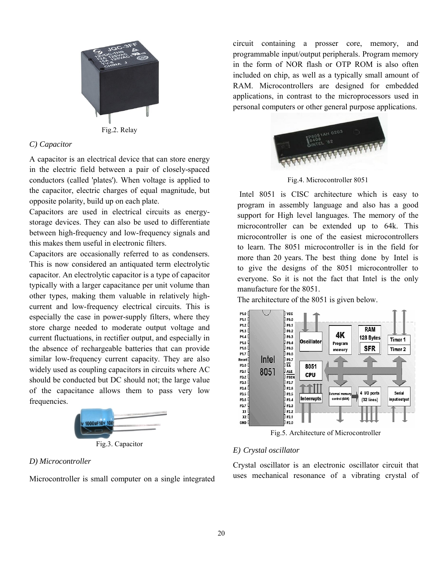

Fig.2. Relay

# *C) Capacitor*

A capacitor is an electrical device that can store energy in the electric field between a pair of closely-spaced conductors (called 'plates'). When voltage is applied to the capacitor, electric charges of equal magnitude, but opposite polarity, build up on each plate.

Capacitors are used in electrical circuits as energystorage devices. They can also be used to differentiate between high-frequency and low-frequency signals and this makes them useful in electronic filters.

Capacitors are occasionally referred to as condensers. This is now considered an antiquated term electrolytic capacitor. An electrolytic capacitor is a type of capacitor typically with a larger capacitance per unit volume than other types, making them valuable in relatively highcurrent and low-frequency electrical circuits. This is especially the case in power-supply filters, where they store charge needed to moderate output voltage and current fluctuations, in rectifier output, and especially in the absence of rechargeable batteries that can provide similar low-frequency current capacity. They are also widely used as coupling capacitors in circuits where AC should be conducted but DC should not; the large value of the capacitance allows them to pass very low frequencies.



Fig.3. Capacitor

# *D) Microcontroller*

Microcontroller is small computer on a single integrated

circuit containing a prosser core, memory, and programmable input/output peripherals. Program memory in the form of NOR flash or OTP ROM is also often included on chip, as well as a typically small amount of RAM. Microcontrollers are designed for embedded applications, in contrast to the microprocessors used in personal computers or other general purpose applications.



Fig.4. Microcontroller 8051

Intel 8051 is CISC architecture which is easy to program in assembly language and also has a good support for High level languages. The memory of the microcontroller can be extended up to 64k. This microcontroller is one of the easiest microcontrollers to learn. The 8051 microcontroller is in the field for more than 20 years. The best thing done by Intel is to give the designs of the 8051 microcontroller to everyone. So it is not the fact that Intel is the only manufacture for the 8051.

The architecture of the 8051 is given below.



Fig.5. Architecture of Microcontroller

# *E) Crystal oscillator*

Crystal oscillator is an electronic oscillator circuit that uses mechanical resonance of a vibrating crystal of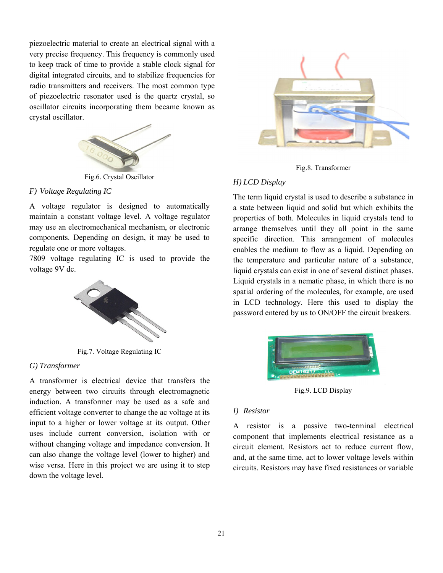piezoelectric material to create an electrical signal with a very precise frequency. This frequency is commonly used to keep track of time to provide a stable clock signal for digital integrated circuits, and to stabilize frequencies for radio transmitters and receivers. The most common type of piezoelectric resonator used is the quartz crystal, so oscillator circuits incorporating them became known as crystal oscillator. piezoelectric material to create an electrical signal with a<br>very precise frequency. This frequency is commonly used<br>to keep track of time to provide a stable clock signal for<br>digital integrated circuits, and to stabilize



Fig.6. Crystal Oscillator

# *F) Voltage Regulating IC*

A voltage regulator is designed to maintain a constant voltage level. A voltage regulator may use an electromechanical mechanism, or electronic components. Depending on design, it may be used to regulate one or more voltages.

7809 voltage regulating IC is used to provide the voltage 9V dc.



Fig.7. Voltage Regulating IC

#### *G) Transformer*

A transformer is electrical device that transfers the energy between two circuits through electromagnetic induction. A transformer may be used as a safe and efficient voltage converter to change the ac voltage at its input to a higher or lower voltage at its output. Other uses include current conversion, isolation with or without changing voltage and impedance conversion. It can also change the voltage level (lower to higher) and wise versa. Here in this project we are using it to step down the voltage level.



#### *H) LCD Display*

Fig.8. Crystal Oscillator<br>
Fig.8. Transformer<br>
Regulator is designed to automatically<br>
a state between liquid crystal is used to design, it may be used to a<br>
a state between liquid and solid but<br>
a constant voltage with co The term liquid crystal is used to describe a substance in a state between liquid and solid but which exhibits the a state between liquid and solid but which exhibits the properties of both. Molecules in liquid crystals tend to arrange themselves until they all point in the same specific direction. This arrangement of molecules enables the medium to flow as a liquid. Depending on the temperature and particular nature of a substance, liquid crystals can exist in one of several distinct phases. Liquid crystals in a nematic phase, in which there is no spatial ordering of the molecules, for example, are used in LCD technology. Here this used to display the password entered by us to ON/OFF the circuit breakers. the matrix of the mediation of the same<br>specific direction. This arrangement of molecules<br>enables the medium to flow as a liquid. Depending on<br>the temperature and particular nature of a substance,<br>liquid crystals in a nema



Fig.9. LCD Display

#### *I) Resistor*

A resistor is a passive two-terminal electrical component that implements electrical resistance as a circuit element. Resistors act to reduce current flow, and, at the same time, act to lower voltage levels within circuits. Resistors may have fixed resistances or variable element. Resistors act to reduce current flow,<br>the same time, act to lower voltage levels within<br>Resistors may have fixed resistances or variable.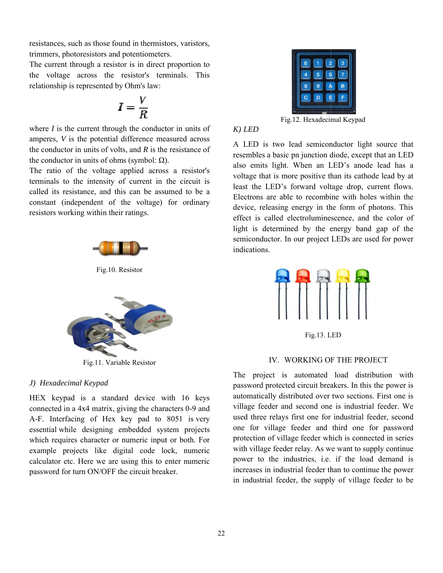resistances, such as those found in thermistors, varistors, trimmers, photoresistors and potentiometers.

The current through a resistor is in direct proportion to the voltage across the resistor's terminals. This relationship is represented by Ohm's law:

$$
I = \frac{V}{R}
$$

where  $I$  is the current through the conductor in units of amperes, *V* is the potential difference measured across amperes,  $V$  is the potential difference measured across the conductor in units of volts, and  $R$  is the resistance of the conductor in units of ohms (symbol:  $Ω$ ).

The ratio of the voltage applied across a resistor's terminals to the intensity of current in the circuit is called its resistance, and this can be assumed to be a constant (independent of the voltage) for ordinary resistors working within their ratings. The ratio of the voltage applied across a resistor's<br>terminals to the intensity of current in the circuit is<br>called its resistance, and this can be assumed to be a<br>constant (independent of the voltage) for ordinary<br>resisto



Fig.10. Resistor



Fig.11. Variable Resistor

#### *J) Hexadecimal Keypad*

HEX keypad is a standard device with 16 keys connected in a 4x4 matrix, giving the characters 0-9 and A-F. Interfacing of Hex key pad to 8051 is very essential while designing embedded system projects which requires character or numeric input or both. For example projects like digital code lock, numeric calculator etc. Here we are using this to enter numeric password for turn ON/OFF the circuit breaker.



# *K) LED*

Fig.12. Hexadecimal Keypad<br>
In the conductor in units of  $\frac{1}{2}$  is two lead semiconductor light is the resistance of the voltage applied across a receivable ab basis being injetical order, we complete the code except of A LED is two lead semiconductor light source that resembles a basic pn junction diode, except that an LED also emits light. When an LED's anode lead has a voltage that is more positive than its cathode lead by at least the LED's forward voltage drop, current flows. Electrons are able to recombine with holes within the device, releasing energy in the form of photons. This effect is called electroluminescence, and the color of light is determined by the energy band gap of the semiconductor. In our project LEDs are used for power indications. A LED is two lead semiconductor light source that resembles a basic pn junction diode, except that an LED also emits light. When an LED's anode lead has a voltage that is more positive than its cathode lead by at least the



Fig.13. LED

# IV. WORKING OF THE PROJECT

The project is automated load distribution with password protected circuit breakers. In this the power is automatically distributed over two sections. First one is village feeder and second one is industrial feeder. used three relays first one for industrial feeder, second one for village feeder and third one for password protection of village feeder which is connected in series with village feeder relay. As we want to supply continue power to the industries, i.e. if the load demand is increases in industrial feeder than to continue the power increases in industrial feeder than to continue the power<br>in industrial feeder, the supply of village feeder to be roject is automated load distribution with<br>rd protected circuit breakers. In this the power is<br>tically distributed over two sections. First one is<br>feeder and second one is industrial feeder. We third one for password<br>ich is connected in series<br>e want to supply continue<br>if the load demand is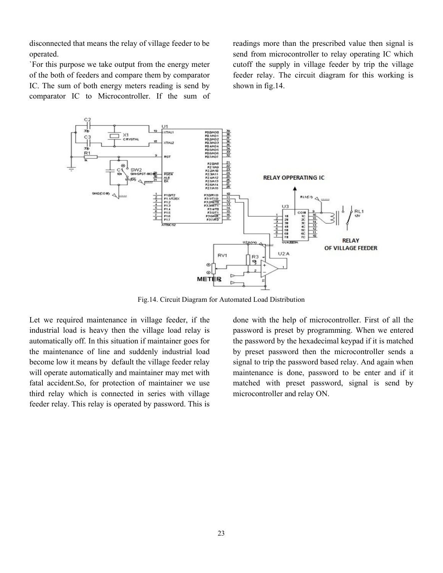disconnected that means the relay of village feeder to be operated.

`For this purpose we take output from the energy meter of the both of feeders and compare them by comparator IC. The sum of both energy meters reading is send by comparator IC to Microcontroller. If the sum of readings more than the prescribed value then signal is send from microcontroller to relay operating IC which cutoff the supply in village feeder by trip the village feeder relay. The circuit diagram for this working is shown in fig.14.



Fig.14. Circuit Diagram for Automated Load Distribution

Let we required maintenance in village feeder, if the industrial load is heavy then the village load relay is automatically off. In this situation if maintainer goes for the maintenance of line and suddenly industrial load become low it means by default the village feeder relay will operate automatically and maintainer may met with fatal accident.So, for protection of maintainer we use third relay which is connected in series with village feeder relay. This relay is operated by password. This is

done with the help of microcontroller. First of all the password is preset by programming. When we entered the password by the hexadecimal keypad if it is matched by preset password then the microcontroller sends a signal to trip the password based relay. And again when maintenance is done, password to be enter and if it matched with preset password, signal is send by microcontroller and relay ON.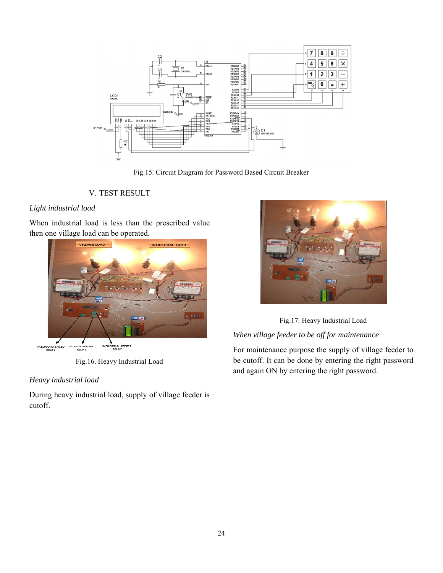

Fig.15. Circuit Diagram for Password Based Circuit Breaker

# V. TEST RESULT

# *Light industrial load*

When industrial load is less than the prescribed value then one village load can be operated.



Fig.16. Heavy Industrial Load

# *Heavy industrial load*

During heavy industrial load, supply of village feeder is cutoff.





# *When village feeder to be off for maintenance*

For maintenance purpose the supply of village feeder to be cutoff. It can be done by entering the right password and again ON by entering the right password.